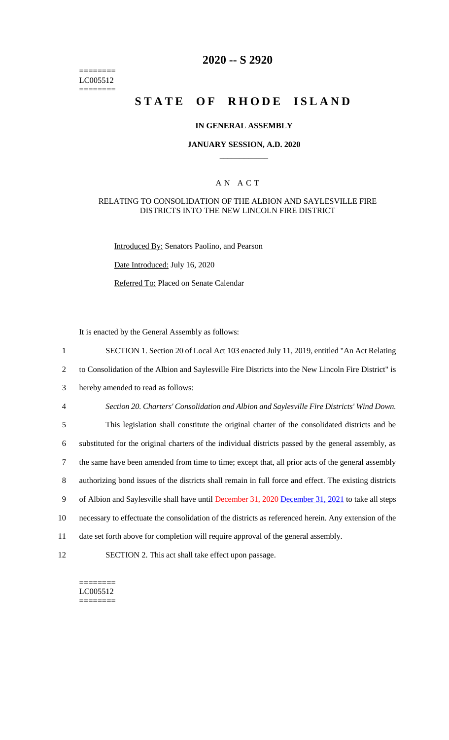======== LC005512 ========

## **2020 -- S 2920**

# **STATE OF RHODE ISLAND**

#### **IN GENERAL ASSEMBLY**

#### **JANUARY SESSION, A.D. 2020 \_\_\_\_\_\_\_\_\_\_\_\_**

### A N A C T

#### RELATING TO CONSOLIDATION OF THE ALBION AND SAYLESVILLE FIRE DISTRICTS INTO THE NEW LINCOLN FIRE DISTRICT

Introduced By: Senators Paolino, and Pearson

Date Introduced: July 16, 2020

Referred To: Placed on Senate Calendar

It is enacted by the General Assembly as follows:

1 SECTION 1. Section 20 of Local Act 103 enacted July 11, 2019, entitled "An Act Relating 2 to Consolidation of the Albion and Saylesville Fire Districts into the New Lincoln Fire District" is

3 hereby amended to read as follows:

4 *Section 20. Charters' Consolidation and Albion and Saylesville Fire Districts' Wind Down.*

 This legislation shall constitute the original charter of the consolidated districts and be substituted for the original charters of the individual districts passed by the general assembly, as the same have been amended from time to time; except that, all prior acts of the general assembly authorizing bond issues of the districts shall remain in full force and effect. The existing districts 9 of Albion and Saylesville shall have until December 31, 2020 December 31, 2021 to take all steps necessary to effectuate the consolidation of the districts as referenced herein. Any extension of the

- 11 date set forth above for completion will require approval of the general assembly.
- 12 SECTION 2. This act shall take effect upon passage.

======== LC005512 ========